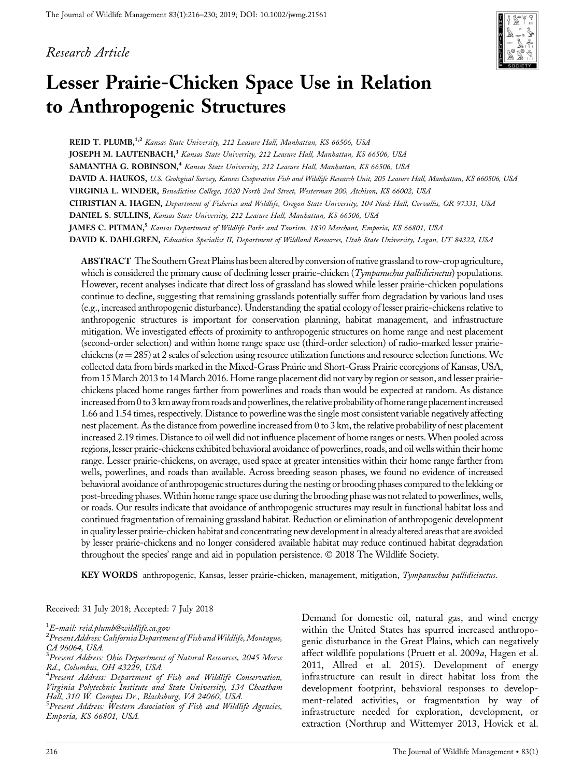## Research Article



# Lesser Prairie-Chicken Space Use in Relation to Anthropogenic Structures

REID T. PLUMB,<sup>1,2</sup> Kansas State University, 212 Leasure Hall, Manhattan, KS 66506, USA JOSEPH M. LAUTENBACH,<sup>3</sup> Kansas State University, 212 Leasure Hall, Manhattan, KS 66506, USA SAMANTHA G. ROBINSON,<sup>4</sup> Kansas State University, 212 Leasure Hall, Manhattan, KS 66506, USA DAVID A. HAUKOS, U.S. Geological Survey, Kansas Cooperative Fish and Wildlife Research Unit, 205 Leasure Hall, Manhattan, KS 660506, USA VIRGINIA L. WINDER, Benedictine College, 1020 North 2nd Street, Westerman 200, Atchison, KS 66002, USA CHRISTIAN A. HAGEN, Department of Fisheries and Wildlife, Oregon State University, 104 Nash Hall, Corvallis, OR 97331, USA DANIEL S. SULLINS, Kansas State University, 212 Leasure Hall, Manhattan, KS 66506, USA JAMES C. PITMAN,<sup>5</sup> Kansas Department of Wildlife Parks and Tourism, 1830 Merchant, Emporia, KS 66801, USA DAVID K. DAHLGREN, Education Specialist II, Department of Wildland Resources, Utah State University, Logan, UT 84322, USA

ABSTRACT The SouthernGreat Plains has been altered by conversion of nativegrassland to row-crop agriculture, which is considered the primary cause of declining lesser prairie-chicken  $(Tympanubus pallidicintus)$  populations. However, recent analyses indicate that direct loss of grassland has slowed while lesser prairie-chicken populations continue to decline, suggesting that remaining grasslands potentially suffer from degradation by various land uses (e.g., increased anthropogenic disturbance). Understanding the spatial ecology of lesser prairie-chickens relative to anthropogenic structures is important for conservation planning, habitat management, and infrastructure mitigation. We investigated effects of proximity to anthropogenic structures on home range and nest placement (second-order selection) and within home range space use (third-order selection) of radio-marked lesser prairiechickens ( $n = 285$ ) at 2 scales of selection using resource utilization functions and resource selection functions. We collected data from birds marked in the Mixed-Grass Prairie and Short-Grass Prairie ecoregions of Kansas, USA, from 15March 2013 to 14March 2016. Home range placement did not vary by region or season, and lesser prairiechickens placed home ranges farther from powerlines and roads than would be expected at random. As distance increased from 0 to 3 km away from roads and powerlines, the relative probability of home range placementincreased 1.66 and 1.54 times, respectively. Distance to powerline wasthe single most consistent variable negatively affecting nest placement. As the distance from powerline increased from 0 to 3 km, the relative probability of nest placement increased 2.19 times. Distance to oil well did not influence placement of home ranges or nests.When pooled across regions, lesser prairie-chickens exhibited behavioral avoidance of powerlines, roads, and oil wells within their home range. Lesser prairie-chickens, on average, used space at greater intensities within their home range farther from wells, powerlines, and roads than available. Across breeding season phases, we found no evidence of increased behavioral avoidance of anthropogenic structures during the nesting or brooding phases compared to the lekking or post-breeding phases.Within home range space use during the brooding phase was not related to powerlines, wells, or roads. Our results indicate that avoidance of anthropogenic structures may result in functional habitat loss and continued fragmentation of remaining grassland habitat. Reduction or elimination of anthropogenic development in quality lesser prairie-chicken habitat and concentrating new development in already altered areas that are avoided by lesser prairie-chickens and no longer considered available habitat may reduce continued habitat degradation throughout the species' range and aid in population persistence.  $\odot$  2018 The Wildlife Society.

KEY WORDS anthropogenic, Kansas, lesser prairie-chicken, management, mitigation, Tympanuchus pallidicinctus.

#### Received: 31 July 2018; Accepted: 7 July 2018

<sup>4</sup> Present Address: Department of Fish and Wildlife Conservation, Virginia Polytechnic Institute and State University, 134 Cheatham Hall, 310 W. Campus Dr., Blacksburg, VA 24060, USA.

 $^5$ Present Address: Western Association of Fish and Wildlife Agencies, Emporia, KS 66801, USA.

Demand for domestic oil, natural gas, and wind energy within the United States has spurred increased anthropogenic disturbance in the Great Plains, which can negatively affect wildlife populations (Pruett et al. 2009a, Hagen et al. 2011, Allred et al. 2015). Development of energy infrastructure can result in direct habitat loss from the development footprint, behavioral responses to development-related activities, or fragmentation by way of infrastructure needed for exploration, development, or extraction (Northrup and Wittemyer 2013, Hovick et al.

<sup>1</sup> E-mail: reid.plumb@wildlife.ca.gov

 $^2$ Present Address: California Department of Fish and Wildlife, Montague, CA 96064, USA.

 $^3$ Present Address: Ohio Department of Natural Resources, 2045 Morse Rd., Columbus, OH 43229, USA.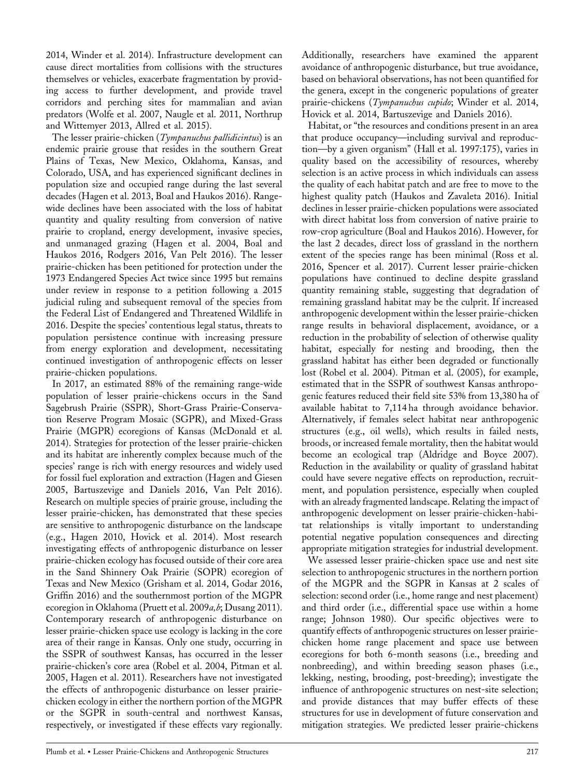2014, Winder et al. 2014). Infrastructure development can cause direct mortalities from collisions with the structures themselves or vehicles, exacerbate fragmentation by providing access to further development, and provide travel corridors and perching sites for mammalian and avian predators (Wolfe et al. 2007, Naugle et al. 2011, Northrup and Wittemyer 2013, Allred et al. 2015).

The lesser prairie-chicken (Tympanuchus pallidicintus) is an endemic prairie grouse that resides in the southern Great Plains of Texas, New Mexico, Oklahoma, Kansas, and Colorado, USA, and has experienced significant declines in population size and occupied range during the last several decades (Hagen et al. 2013, Boal and Haukos 2016). Rangewide declines have been associated with the loss of habitat quantity and quality resulting from conversion of native prairie to cropland, energy development, invasive species, and unmanaged grazing (Hagen et al. 2004, Boal and Haukos 2016, Rodgers 2016, Van Pelt 2016). The lesser prairie-chicken has been petitioned for protection under the 1973 Endangered Species Act twice since 1995 but remains under review in response to a petition following a 2015 judicial ruling and subsequent removal of the species from the Federal List of Endangered and Threatened Wildlife in 2016. Despite the species' contentious legal status, threats to population persistence continue with increasing pressure from energy exploration and development, necessitating continued investigation of anthropogenic effects on lesser prairie-chicken populations.

In 2017, an estimated 88% of the remaining range-wide population of lesser prairie-chickens occurs in the Sand Sagebrush Prairie (SSPR), Short-Grass Prairie-Conservation Reserve Program Mosaic (SGPR), and Mixed-Grass Prairie (MGPR) ecoregions of Kansas (McDonald et al. 2014). Strategies for protection of the lesser prairie-chicken and its habitat are inherently complex because much of the species' range is rich with energy resources and widely used for fossil fuel exploration and extraction (Hagen and Giesen 2005, Bartuszevige and Daniels 2016, Van Pelt 2016). Research on multiple species of prairie grouse, including the lesser prairie-chicken, has demonstrated that these species are sensitive to anthropogenic disturbance on the landscape (e.g., Hagen 2010, Hovick et al. 2014). Most research investigating effects of anthropogenic disturbance on lesser prairie-chicken ecology has focused outside of their core area in the Sand Shinnery Oak Prairie (SOPR) ecoregion of Texas and New Mexico (Grisham et al. 2014, Godar 2016, Griffin 2016) and the southernmost portion of the MGPR ecoregion in Oklahoma (Pruett et al. 2009a, b; Dusang 2011). Contemporary research of anthropogenic disturbance on lesser prairie-chicken space use ecology is lacking in the core area of their range in Kansas. Only one study, occurring in the SSPR of southwest Kansas, has occurred in the lesser prairie-chicken's core area (Robel et al. 2004, Pitman et al. 2005, Hagen et al. 2011). Researchers have not investigated the effects of anthropogenic disturbance on lesser prairiechicken ecology in either the northern portion of the MGPR or the SGPR in south-central and northwest Kansas, respectively, or investigated if these effects vary regionally.

Additionally, researchers have examined the apparent avoidance of anthropogenic disturbance, but true avoidance, based on behavioral observations, has not been quantified for the genera, except in the congeneric populations of greater prairie-chickens (Tympanuchus cupido; Winder et al. 2014, Hovick et al. 2014, Bartuszevige and Daniels 2016).

Habitat, or "the resources and conditions present in an area that produce occupancy—including survival and reproduction—by a given organism" (Hall et al. 1997:175), varies in quality based on the accessibility of resources, whereby selection is an active process in which individuals can assess the quality of each habitat patch and are free to move to the highest quality patch (Haukos and Zavaleta 2016). Initial declines in lesser prairie-chicken populations were associated with direct habitat loss from conversion of native prairie to row-crop agriculture (Boal and Haukos 2016). However, for the last 2 decades, direct loss of grassland in the northern extent of the species range has been minimal (Ross et al. 2016, Spencer et al. 2017). Current lesser prairie-chicken populations have continued to decline despite grassland quantity remaining stable, suggesting that degradation of remaining grassland habitat may be the culprit. If increased anthropogenic development within the lesser prairie-chicken range results in behavioral displacement, avoidance, or a reduction in the probability of selection of otherwise quality habitat, especially for nesting and brooding, then the grassland habitat has either been degraded or functionally lost (Robel et al. 2004). Pitman et al. (2005), for example, estimated that in the SSPR of southwest Kansas anthropogenic features reduced their field site 53% from 13,380 ha of available habitat to 7,114 ha through avoidance behavior. Alternatively, if females select habitat near anthropogenic structures (e.g., oil wells), which results in failed nests, broods, or increased female mortality, then the habitat would become an ecological trap (Aldridge and Boyce 2007). Reduction in the availability or quality of grassland habitat could have severe negative effects on reproduction, recruitment, and population persistence, especially when coupled with an already fragmented landscape. Relating the impact of anthropogenic development on lesser prairie-chicken-habitat relationships is vitally important to understanding potential negative population consequences and directing appropriate mitigation strategies for industrial development.

We assessed lesser prairie-chicken space use and nest site selection to anthropogenic structures in the northern portion of the MGPR and the SGPR in Kansas at 2 scales of selection: second order (i.e., home range and nest placement) and third order (i.e., differential space use within a home range; Johnson 1980). Our specific objectives were to quantify effects of anthropogenic structures on lesser prairiechicken home range placement and space use between ecoregions for both 6-month seasons (i.e., breeding and nonbreeding), and within breeding season phases (i.e., lekking, nesting, brooding, post-breeding); investigate the influence of anthropogenic structures on nest-site selection; and provide distances that may buffer effects of these structures for use in development of future conservation and mitigation strategies. We predicted lesser prairie-chickens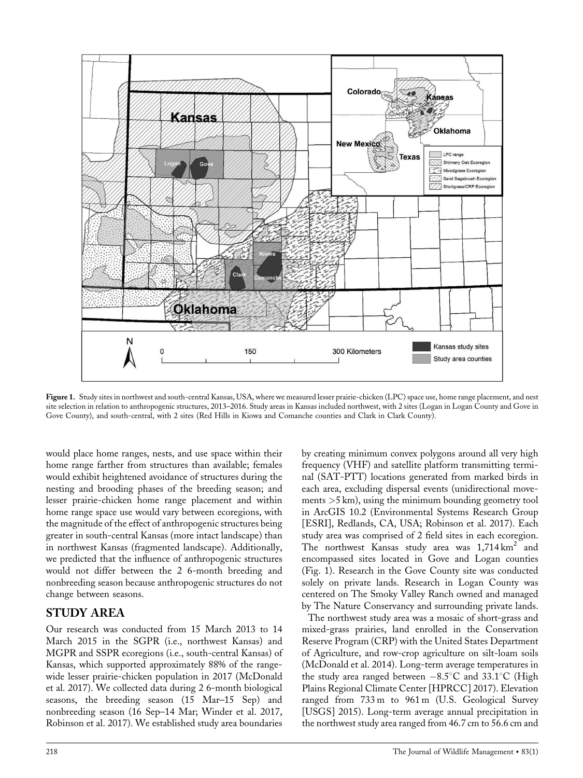

Figure 1. Study sites in northwest and south-central Kansas, USA, where we measured lesser prairie-chicken (LPC) space use, home range placement, and nest site selection in relation to anthropogenic structures, 2013–2016. Study areas in Kansas included northwest, with 2 sites (Logan in Logan County and Gove in Gove County), and south-central, with 2 sites (Red Hills in Kiowa and Comanche counties and Clark in Clark County).

would place home ranges, nests, and use space within their home range farther from structures than available; females would exhibit heightened avoidance of structures during the nesting and brooding phases of the breeding season; and lesser prairie-chicken home range placement and within home range space use would vary between ecoregions, with the magnitude of the effect of anthropogenic structures being greater in south-central Kansas (more intact landscape) than in northwest Kansas (fragmented landscape). Additionally, we predicted that the influence of anthropogenic structures would not differ between the 2 6-month breeding and nonbreeding season because anthropogenic structures do not change between seasons.

## STUDY AREA

Our research was conducted from 15 March 2013 to 14 March 2015 in the SGPR (i.e., northwest Kansas) and MGPR and SSPR ecoregions (i.e., south-central Kansas) of Kansas, which supported approximately 88% of the rangewide lesser prairie-chicken population in 2017 (McDonald et al. 2017). We collected data during 2 6-month biological seasons, the breeding season (15 Mar–15 Sep) and nonbreeding season (16 Sep–14 Mar; Winder et al. 2017, Robinson et al. 2017). We established study area boundaries

by creating minimum convex polygons around all very high frequency (VHF) and satellite platform transmitting terminal (SAT-PTT) locations generated from marked birds in each area, excluding dispersal events (unidirectional movements >5 km), using the minimum bounding geometry tool in ArcGIS 10.2 (Environmental Systems Research Group [ESRI], Redlands, CA, USA; Robinson et al. 2017). Each study area was comprised of 2 field sites in each ecoregion. The northwest Kansas study area was  $1,714 \text{ km}^2$  and encompassed sites located in Gove and Logan counties (Fig. 1). Research in the Gove County site was conducted solely on private lands. Research in Logan County was centered on The Smoky Valley Ranch owned and managed by The Nature Conservancy and surrounding private lands.

The northwest study area was a mosaic of short-grass and mixed-grass prairies, land enrolled in the Conservation Reserve Program (CRP) with the United States Department of Agriculture, and row-crop agriculture on silt-loam soils (McDonald et al. 2014). Long-term average temperatures in the study area ranged between  $-8.5^{\circ}$ C and 33.1°C (High Plains Regional Climate Center [HPRCC] 2017). Elevation ranged from 733 m to 961 m (U.S. Geological Survey [USGS] 2015). Long-term average annual precipitation in the northwest study area ranged from 46.7 cm to 56.6 cm and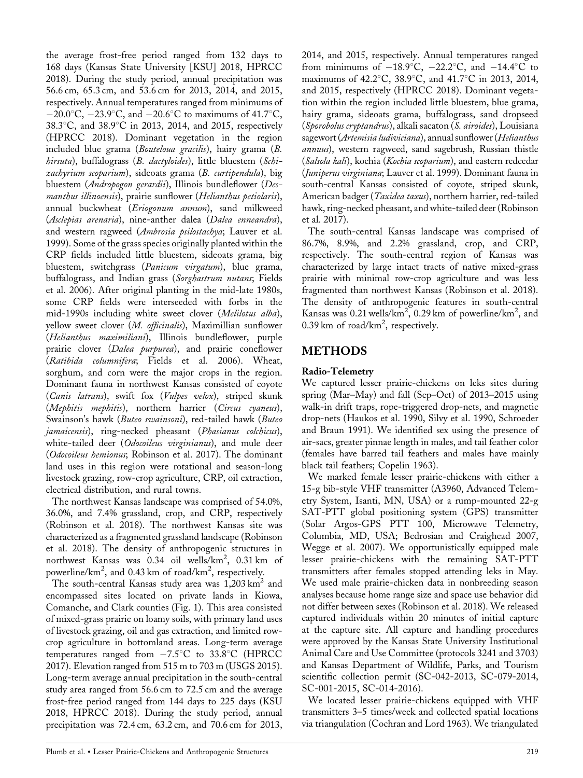the average frost-free period ranged from 132 days to 168 days (Kansas State University [KSU] 2018, HPRCC 2018). During the study period, annual precipitation was 56.6 cm, 65.3 cm, and 53.6 cm for 2013, 2014, and 2015, respectively. Annual temperatures ranged from minimums of  $-20.0\degree$ C,  $-23.9\degree$ C, and  $-20.6\degree$ C to maximums of 41.7°C, 38.3 $^{\circ}$ C, and 38.9 $^{\circ}$ C in 2013, 2014, and 2015, respectively (HPRCC 2018). Dominant vegetation in the region included blue grama (Bouteloua gracilis), hairy grama (B. hirsuta), buffalograss (B. dactyloides), little bluestem (Schizachyrium scoparium), sideoats grama (B. curtipendula), big bluestem (Andropogon gerardii), Illinois bundleflower (Desmanthus illinoensis), prairie sunflower (Helianthus petiolaris), annual buckwheat (Eriogonum annum), sand milkweed (Asclepias arenaria), nine-anther dalea (Dalea enneandra), and western ragweed (Ambrosia psilostachya; Lauver et al. 1999). Some of the grass species originally planted within the CRP fields included little bluestem, sideoats grama, big bluestem, switchgrass (Panicum virgatum), blue grama, buffalograss, and Indian grass (Sorghastrum nutans; Fields et al. 2006). After original planting in the mid-late 1980s, some CRP fields were interseeded with forbs in the mid-1990s including white sweet clover (Melilotus alba), yellow sweet clover (M. officinalis), Maximillian sunflower (Helianthus maximiliani), Illinois bundleflower, purple prairie clover (Dalea purpurea), and prairie coneflower (Ratibida columnifera; Fields et al. 2006). Wheat, sorghum, and corn were the major crops in the region. Dominant fauna in northwest Kansas consisted of coyote (Canis latrans), swift fox (Vulpes velox), striped skunk (Mephitis mephitis), northern harrier (Circus cyaneus), Swainson's hawk (Buteo swainsoni), red-tailed hawk (Buteo jamaicensis), ring-necked pheasant (Phasianus colchicus), white-tailed deer (Odocoileus virginianus), and mule deer (Odocoileus hemionus; Robinson et al. 2017). The dominant land uses in this region were rotational and season-long livestock grazing, row-crop agriculture, CRP, oil extraction, electrical distribution, and rural towns.

The northwest Kansas landscape was comprised of 54.0%, 36.0%, and 7.4% grassland, crop, and CRP, respectively (Robinson et al. 2018). The northwest Kansas site was characterized as a fragmented grassland landscape (Robinson et al. 2018). The density of anthropogenic structures in northwest Kansas was 0.34 oil wells/km<sup>2</sup>, 0.31 km of powerline/ $km^2$ , and 0.43 km of road/ $km^2$ , respectively.

The south-central Kansas study area was  $1,203 \text{ km}^2$  and encompassed sites located on private lands in Kiowa, Comanche, and Clark counties (Fig. 1). This area consisted of mixed-grass prairie on loamy soils, with primary land uses of livestock grazing, oil and gas extraction, and limited rowcrop agriculture in bottomland areas. Long-term average temperatures ranged from  $-7.5^{\circ}$ C to 33.8 $^{\circ}$ C (HPRCC 2017). Elevation ranged from 515 m to 703 m (USGS 2015). Long-term average annual precipitation in the south-central study area ranged from 56.6 cm to 72.5 cm and the average frost-free period ranged from 144 days to 225 days (KSU 2018, HPRCC 2018). During the study period, annual precipitation was 72.4 cm, 63.2 cm, and 70.6 cm for 2013,

2014, and 2015, respectively. Annual temperatures ranged from minimums of  $-18.9^{\circ}$ C,  $-22.2^{\circ}$ C, and  $-14.4^{\circ}$ C to maximums of 42.2°C, 38.9°C, and 41.7°C in 2013, 2014, and 2015, respectively (HPRCC 2018). Dominant vegetation within the region included little bluestem, blue grama, hairy grama, sideoats grama, buffalograss, sand dropseed (Sporobolus cryptandrus), alkali sacaton (S. airoides), Louisiana sagewort (Artemisia ludiviciana), annual sunflower (Helianthus annuus), western ragweed, sand sagebrush, Russian thistle (Salsola kali), kochia (Kochia scoparium), and eastern redcedar (Juniperus virginiana; Lauver et al. 1999). Dominant fauna in south-central Kansas consisted of coyote, striped skunk, American badger (*Taxidea taxus*), northern harrier, red-tailed hawk, ring-necked pheasant, and white-tailed deer (Robinson et al. 2017).

The south-central Kansas landscape was comprised of 86.7%, 8.9%, and 2.2% grassland, crop, and CRP, respectively. The south-central region of Kansas was characterized by large intact tracts of native mixed-grass prairie with minimal row-crop agriculture and was less fragmented than northwest Kansas (Robinson et al. 2018). The density of anthropogenic features in south-central Kansas was 0.21 wells/ $\text{km}^2$ , 0.29 km of powerline/km<sup>2</sup>, and 0.39 km of road/km<sup>2</sup>, respectively.

# METHODS

## Radio-Telemetry

We captured lesser prairie-chickens on leks sites during spring (Mar–May) and fall (Sep–Oct) of 2013–2015 using walk-in drift traps, rope-triggered drop-nets, and magnetic drop-nets (Haukos et al. 1990, Silvy et al. 1990, Schroeder and Braun 1991). We identified sex using the presence of air-sacs, greater pinnae length in males, and tail feather color (females have barred tail feathers and males have mainly black tail feathers; Copelin 1963).

We marked female lesser prairie-chickens with either a 15-g bib-style VHF transmitter (A3960, Advanced Telemetry System, Isanti, MN, USA) or a rump-mounted 22-g SAT-PTT global positioning system (GPS) transmitter (Solar Argos-GPS PTT 100, Microwave Telemetry, Columbia, MD, USA; Bedrosian and Craighead 2007, Wegge et al. 2007). We opportunistically equipped male lesser prairie-chickens with the remaining SAT-PTT transmitters after females stopped attending leks in May. We used male prairie-chicken data in nonbreeding season analyses because home range size and space use behavior did not differ between sexes (Robinson et al. 2018). We released captured individuals within 20 minutes of initial capture at the capture site. All capture and handling procedures were approved by the Kansas State University Institutional Animal Care and Use Committee (protocols 3241 and 3703) and Kansas Department of Wildlife, Parks, and Tourism scientific collection permit (SC-042-2013, SC-079-2014, SC-001-2015, SC-014-2016).

We located lesser prairie-chickens equipped with VHF transmitters 3–5 times/week and collected spatial locations via triangulation (Cochran and Lord 1963). We triangulated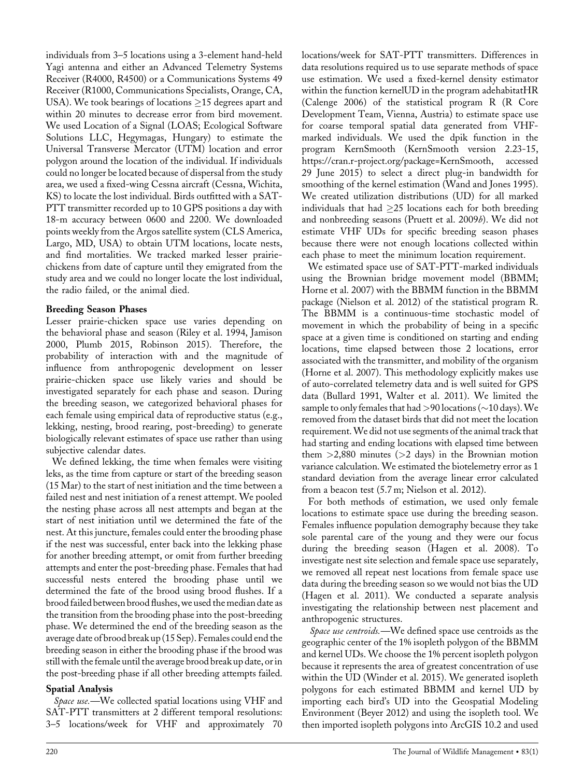individuals from 3–5 locations using a 3-element hand-held Yagi antenna and either an Advanced Telemetry Systems Receiver (R4000, R4500) or a Communications Systems 49 Receiver (R1000, Communications Specialists, Orange, CA, USA). We took bearings of locations  $\geq$ 15 degrees apart and within 20 minutes to decrease error from bird movement. We used Location of a Signal (LOAS; Ecological Software Solutions LLC, Hegymagas, Hungary) to estimate the Universal Transverse Mercator (UTM) location and error polygon around the location of the individual. If individuals could no longer be located because of dispersal from the study area, we used a fixed-wing Cessna aircraft (Cessna, Wichita, KS) to locate the lost individual. Birds outfitted with a SAT-PTT transmitter recorded up to 10 GPS positions a day with 18-m accuracy between 0600 and 2200. We downloaded points weekly from the Argos satellite system (CLS America, Largo, MD, USA) to obtain UTM locations, locate nests, and find mortalities. We tracked marked lesser prairiechickens from date of capture until they emigrated from the study area and we could no longer locate the lost individual, the radio failed, or the animal died.

## Breeding Season Phases

Lesser prairie-chicken space use varies depending on the behavioral phase and season (Riley et al. 1994, Jamison 2000, Plumb 2015, Robinson 2015). Therefore, the probability of interaction with and the magnitude of influence from anthropogenic development on lesser prairie-chicken space use likely varies and should be investigated separately for each phase and season. During the breeding season, we categorized behavioral phases for each female using empirical data of reproductive status (e.g., lekking, nesting, brood rearing, post-breeding) to generate biologically relevant estimates of space use rather than using subjective calendar dates.

We defined lekking, the time when females were visiting leks, as the time from capture or start of the breeding season (15 Mar) to the start of nest initiation and the time between a failed nest and nest initiation of a renest attempt. We pooled the nesting phase across all nest attempts and began at the start of nest initiation until we determined the fate of the nest. At this juncture, females could enter the brooding phase if the nest was successful, enter back into the lekking phase for another breeding attempt, or omit from further breeding attempts and enter the post-breeding phase. Females that had successful nests entered the brooding phase until we determined the fate of the brood using brood flushes. If a brood failed between brood flushes, we used themedian date as the transition from the brooding phase into the post-breeding phase. We determined the end of the breeding season as the average date of brood break up (15 Sep). Females could end the breeding season in either the brooding phase if the brood was still with the female until the average brood break up date, or in the post-breeding phase if all other breeding attempts failed.

## Spatial Analysis

Space use.—We collected spatial locations using VHF and SAT-PTT transmitters at 2 different temporal resolutions: 3–5 locations/week for VHF and approximately 70

locations/week for SAT-PTT transmitters. Differences in data resolutions required us to use separate methods of space use estimation. We used a fixed-kernel density estimator within the function kernelUD in the program adehabitatHR (Calenge 2006) of the statistical program R (R Core Development Team, Vienna, Austria) to estimate space use for coarse temporal spatial data generated from VHFmarked individuals. We used the dpik function in the program KernSmooth (KernSmooth version 2.23-15, [https://cran.r-project.org/package=KernSmooth,](https://cran.r-project.org/package=KernSmooth) accessed 29 June 2015) to select a direct plug-in bandwidth for smoothing of the kernel estimation (Wand and Jones 1995). We created utilization distributions (UD) for all marked individuals that had  $\geq$ 25 locations each for both breeding and nonbreeding seasons (Pruett et al. 2009b). We did not estimate VHF UDs for specific breeding season phases because there were not enough locations collected within each phase to meet the minimum location requirement.

We estimated space use of SAT-PTT-marked individuals using the Brownian bridge movement model (BBMM; Horne et al. 2007) with the BBMM function in the BBMM package (Nielson et al. 2012) of the statistical program R. The BBMM is a continuous-time stochastic model of movement in which the probability of being in a specific space at a given time is conditioned on starting and ending locations, time elapsed between those 2 locations, error associated with the transmitter, and mobility of the organism (Horne et al. 2007). This methodology explicitly makes use of auto-correlated telemetry data and is well suited for GPS data (Bullard 1991, Walter et al. 2011). We limited the sample to only females that had  $>90$  locations ( $\sim$ 10 days). We removed from the dataset birds that did not meet the location requirement.We did not use segments of the animal track that had starting and ending locations with elapsed time between them  $>2,880$  minutes ( $>2$  days) in the Brownian motion variance calculation. We estimated the biotelemetry error as 1 standard deviation from the average linear error calculated from a beacon test (5.7 m; Nielson et al. 2012).

For both methods of estimation, we used only female locations to estimate space use during the breeding season. Females influence population demography because they take sole parental care of the young and they were our focus during the breeding season (Hagen et al. 2008). To investigate nest site selection and female space use separately, we removed all repeat nest locations from female space use data during the breeding season so we would not bias the UD (Hagen et al. 2011). We conducted a separate analysis investigating the relationship between nest placement and anthropogenic structures.

Space use centroids.—We defined space use centroids as the geographic center of the 1% isopleth polygon of the BBMM and kernel UDs. We choose the 1% percent isopleth polygon because it represents the area of greatest concentration of use within the UD (Winder et al. 2015). We generated isopleth polygons for each estimated BBMM and kernel UD by importing each bird's UD into the Geospatial Modeling Environment (Beyer 2012) and using the isopleth tool. We then imported isopleth polygons into ArcGIS 10.2 and used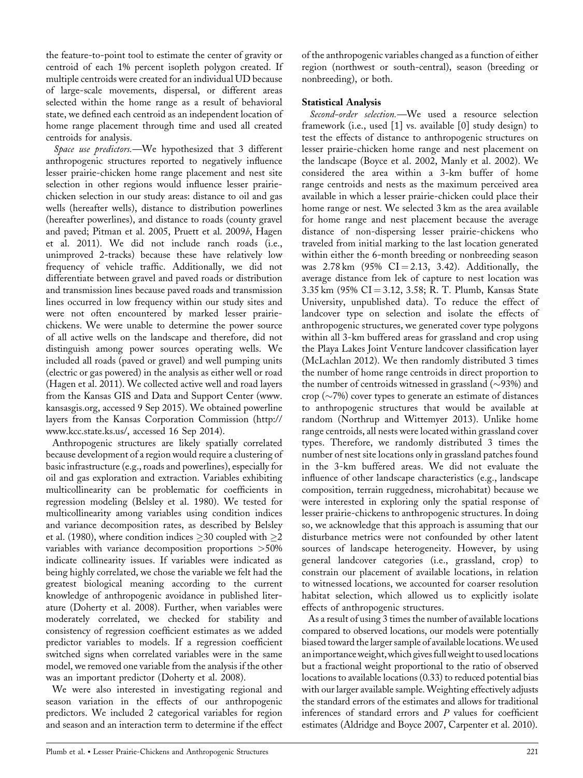the feature-to-point tool to estimate the center of gravity or centroid of each 1% percent isopleth polygon created. If multiple centroids were created for an individual UD because of large-scale movements, dispersal, or different areas selected within the home range as a result of behavioral state, we defined each centroid as an independent location of home range placement through time and used all created centroids for analysis.

Space use predictors.—We hypothesized that 3 different anthropogenic structures reported to negatively influence lesser prairie-chicken home range placement and nest site selection in other regions would influence lesser prairiechicken selection in our study areas: distance to oil and gas wells (hereafter wells), distance to distribution powerlines (hereafter powerlines), and distance to roads (county gravel and paved; Pitman et al. 2005, Pruett et al. 2009b, Hagen et al. 2011). We did not include ranch roads (i.e., unimproved 2-tracks) because these have relatively low frequency of vehicle traffic. Additionally, we did not differentiate between gravel and paved roads or distribution and transmission lines because paved roads and transmission lines occurred in low frequency within our study sites and were not often encountered by marked lesser prairiechickens. We were unable to determine the power source of all active wells on the landscape and therefore, did not distinguish among power sources operating wells. We included all roads (paved or gravel) and well pumping units (electric or gas powered) in the analysis as either well or road (Hagen et al. 2011). We collected active well and road layers from the Kansas GIS and Data and Support Center ([www.](http://www.kansasgis.org) [kansasgis.org,](http://www.kansasgis.org) accessed 9 Sep 2015). We obtained powerline layers from the Kansas Corporation Commission [\(http://](http://www.kcc.state.ks.us/) [www.kcc.state.ks.us/,](http://www.kcc.state.ks.us/) accessed 16 Sep 2014).

Anthropogenic structures are likely spatially correlated because development of a region would require a clustering of basic infrastructure (e.g., roads and powerlines), especially for oil and gas exploration and extraction. Variables exhibiting multicollinearity can be problematic for coefficients in regression modeling (Belsley et al. 1980). We tested for multicollinearity among variables using condition indices and variance decomposition rates, as described by Belsley et al. (1980), where condition indices  $\geq$  30 coupled with  $\geq$ 2 variables with variance decomposition proportions >50% indicate collinearity issues. If variables were indicated as being highly correlated, we chose the variable we felt had the greatest biological meaning according to the current knowledge of anthropogenic avoidance in published literature (Doherty et al. 2008). Further, when variables were moderately correlated, we checked for stability and consistency of regression coefficient estimates as we added predictor variables to models. If a regression coefficient switched signs when correlated variables were in the same model, we removed one variable from the analysis if the other was an important predictor (Doherty et al. 2008).

We were also interested in investigating regional and season variation in the effects of our anthropogenic predictors. We included 2 categorical variables for region and season and an interaction term to determine if the effect

of the anthropogenic variables changed as a function of either region (northwest or south-central), season (breeding or nonbreeding), or both.

#### Statistical Analysis

Second-order selection.—We used a resource selection framework (i.e., used [1] vs. available [0] study design) to test the effects of distance to anthropogenic structures on lesser prairie-chicken home range and nest placement on the landscape (Boyce et al. 2002, Manly et al. 2002). We considered the area within a 3-km buffer of home range centroids and nests as the maximum perceived area available in which a lesser prairie-chicken could place their home range or nest. We selected 3 km as the area available for home range and nest placement because the average distance of non-dispersing lesser prairie-chickens who traveled from initial marking to the last location generated within either the 6-month breeding or nonbreeding season was  $2.78 \text{ km}$  (95% CI = 2.13, 3.42). Additionally, the average distance from lek of capture to nest location was 3.35 km (95% CI = 3.12, 3.58; R. T. Plumb, Kansas State University, unpublished data). To reduce the effect of landcover type on selection and isolate the effects of anthropogenic structures, we generated cover type polygons within all 3-km buffered areas for grassland and crop using the Playa Lakes Joint Venture landcover classification layer (McLachlan 2012). We then randomly distributed 3 times the number of home range centroids in direct proportion to the number of centroids witnessed in grassland  $(\sim 93\%)$  and crop ( $\sim$ 7%) cover types to generate an estimate of distances to anthropogenic structures that would be available at random (Northrup and Wittemyer 2013). Unlike home range centroids, all nests were located within grassland cover types. Therefore, we randomly distributed 3 times the number of nest site locations only in grassland patches found in the 3-km buffered areas. We did not evaluate the influence of other landscape characteristics (e.g., landscape composition, terrain ruggedness, microhabitat) because we were interested in exploring only the spatial response of lesser prairie-chickens to anthropogenic structures. In doing so, we acknowledge that this approach is assuming that our disturbance metrics were not confounded by other latent sources of landscape heterogeneity. However, by using general landcover categories (i.e., grassland, crop) to constrain our placement of available locations, in relation to witnessed locations, we accounted for coarser resolution habitat selection, which allowed us to explicitly isolate effects of anthropogenic structures.

As a result of using 3 times the number of available locations compared to observed locations, our models were potentially biased toward the larger sample of available locations.We used animportanceweight,which gives fullweight to used locations but a fractional weight proportional to the ratio of observed locations to available locations (0.33) to reduced potential bias with our larger available sample. Weighting effectively adjusts the standard errors of the estimates and allows for traditional inferences of standard errors and P values for coefficient estimates (Aldridge and Boyce 2007, Carpenter et al. 2010).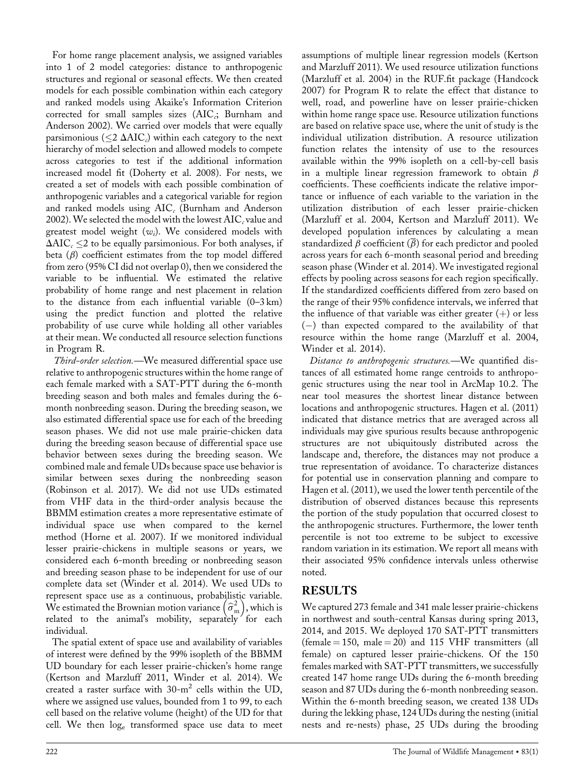For home range placement analysis, we assigned variables into 1 of 2 model categories: distance to anthropogenic structures and regional or seasonal effects. We then created models for each possible combination within each category and ranked models using Akaike's Information Criterion corrected for small samples sizes  $(AIC<sub>c</sub>; Burnham and$ Anderson 2002). We carried over models that were equally parsimonious ( $\leq$ 2  $\Delta AIC_c$ ) within each category to the next hierarchy of model selection and allowed models to compete across categories to test if the additional information increased model fit (Doherty et al. 2008). For nests, we created a set of models with each possible combination of anthropogenic variables and a categorical variable for region and ranked models using  $AIC_c$  (Burnham and Anderson 2002). We selected the model with the lowest  $AIC_c$  value and greatest model weight  $(w_i)$ . We considered models with  $\Delta AIC_c \leq 2$  to be equally parsimonious. For both analyses, if beta  $(\beta)$  coefficient estimates from the top model differed from zero (95% CI did not overlap 0), then we considered the variable to be influential. We estimated the relative probability of home range and nest placement in relation to the distance from each influential variable (0–3 km) using the predict function and plotted the relative probability of use curve while holding all other variables at their mean. We conducted all resource selection functions in Program R.

Third-order selection.—We measured differential space use relative to anthropogenic structures within the home range of each female marked with a SAT-PTT during the 6-month breeding season and both males and females during the 6 month nonbreeding season. During the breeding season, we also estimated differential space use for each of the breeding season phases. We did not use male prairie-chicken data during the breeding season because of differential space use behavior between sexes during the breeding season. We combined male and female UDs because space use behavior is similar between sexes during the nonbreeding season (Robinson et al. 2017). We did not use UDs estimated from VHF data in the third-order analysis because the BBMM estimation creates a more representative estimate of individual space use when compared to the kernel method (Horne et al. 2007). If we monitored individual lesser prairie-chickens in multiple seasons or years, we considered each 6-month breeding or nonbreeding season and breeding season phase to be independent for use of our complete data set (Winder et al. 2014). We used UDs to represent space use as a continuous, probabilistic variable. We estimated the Brownian motion variance  $\left(\widehat{\sigma}_{\text{m}}^{2}\right)$  $\left(\widehat{\sigma}_{\rm m}^2\right)$ , which is related to the animal's mobility, separately for each individual.

The spatial extent of space use and availability of variables of interest were defined by the 99% isopleth of the BBMM UD boundary for each lesser prairie-chicken's home range (Kertson and Marzluff 2011, Winder et al. 2014). We created a raster surface with  $30-m^2$  cells within the UD, where we assigned use values, bounded from 1 to 99, to each cell based on the relative volume (height) of the UD for that cell. We then  $log_e$  transformed space use data to meet assumptions of multiple linear regression models (Kertson and Marzluff 2011). We used resource utilization functions (Marzluff et al. 2004) in the RUF.fit package (Handcock 2007) for Program R to relate the effect that distance to well, road, and powerline have on lesser prairie-chicken within home range space use. Resource utilization functions are based on relative space use, where the unit of study is the individual utilization distribution. A resource utilization function relates the intensity of use to the resources available within the 99% isopleth on a cell-by-cell basis in a multiple linear regression framework to obtain  $\beta$ coefficients. These coefficients indicate the relative importance or influence of each variable to the variation in the utilization distribution of each lesser prairie-chicken (Marzluff et al. 2004, Kertson and Marzluff 2011). We developed population inferences by calculating a mean standardized  $\beta$  coefficient  $(\overline{\beta})$  for each predictor and pooled across years for each 6-month seasonal period and breeding season phase (Winder et al. 2014). We investigated regional effects by pooling across seasons for each region specifically. If the standardized coefficients differed from zero based on the range of their 95% confidence intervals, we inferred that the influence of that variable was either greater  $(+)$  or less  $(-)$  than expected compared to the availability of that resource within the home range (Marzluff et al. 2004, Winder et al. 2014).

Distance to anthropogenic structures.—We quantified distances of all estimated home range centroids to anthropogenic structures using the near tool in ArcMap 10.2. The near tool measures the shortest linear distance between locations and anthropogenic structures. Hagen et al. (2011) indicated that distance metrics that are averaged across all individuals may give spurious results because anthropogenic structures are not ubiquitously distributed across the landscape and, therefore, the distances may not produce a true representation of avoidance. To characterize distances for potential use in conservation planning and compare to Hagen et al. (2011), we used the lower tenth percentile of the distribution of observed distances because this represents the portion of the study population that occurred closest to the anthropogenic structures. Furthermore, the lower tenth percentile is not too extreme to be subject to excessive random variation in its estimation. We report all means with their associated 95% confidence intervals unless otherwise noted.

## RESULTS

We captured 273 female and 341 male lesser prairie-chickens in northwest and south-central Kansas during spring 2013, 2014, and 2015. We deployed 170 SAT-PTT transmitters (female  $= 150$ , male  $= 20$ ) and 115 VHF transmitters (all female) on captured lesser prairie-chickens. Of the 150 females marked with SAT-PTT transmitters, we successfully created 147 home range UDs during the 6-month breeding season and 87 UDs during the 6-month nonbreeding season. Within the 6-month breeding season, we created 138 UDs during the lekking phase, 124 UDs during the nesting (initial nests and re-nests) phase, 25 UDs during the brooding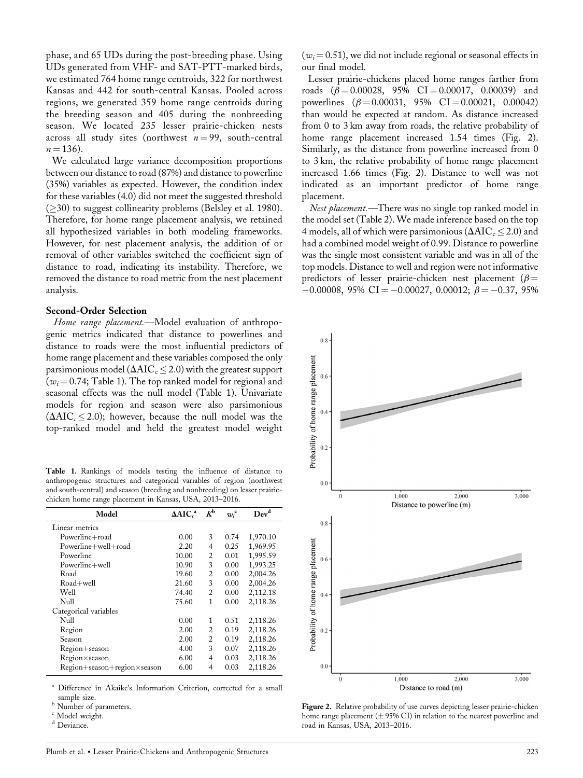phase, and 65 UDs during the post-breeding phase. Using UDs generated from VHF- and SAT-PTT-marked birds, we estimated 764 home range centroids, 322 for northwest Kansas and 442 for south-central Kansas. Pooled across regions, we generated 359 home range centroids during the breeding season and 405 during the nonbreeding season. We located 235 lesser prairie-chicken nests across all study sites (northwest  $n = 99$ , south-central  $n = 136$ ).

We calculated large variance decomposition proportions between our distance to road (87%) and distance to powerline (35%) variables as expected. However, the condition index for these variables (4.0) did not meet the suggested threshold  $(\geq 30)$  to suggest collinearity problems (Belsley et al. 1980). Therefore, for home range placement analysis, we retained all hypothesized variables in both modeling frameworks. However, for nest placement analysis, the addition of or removal of other variables switched the coefficient sign of distance to road, indicating its instability. Therefore, we removed the distance to road metric from the nest placement analysis.

#### Second-Order Selection

Home range placement.—Model evaluation of anthropogenic metrics indicated that distance to powerlines and distance to roads were the most influential predictors of home range placement and these variables composed the only parsimonious model ( $\Delta AIC_{c} \leq 2.0$ ) with the greatest support ( $w_i$  = 0.74; Table 1). The top ranked model for regional and seasonal effects was the null model (Table 1). Univariate models for region and season were also parsimonious  $(\Delta AIC_{c} \leq 2.0)$ ; however, because the null model was the top-ranked model and held the greatest model weight

Table 1. Rankings of models testing the influence of distance to anthropogenic structures and categorical variables of region (northwest and south-central) and season (breeding and nonbreeding) on lesser prairiechicken home range placement in Kansas, USA, 2013–2016.

| Model                       | $\Delta AIC^a$ | $K^{\rm b}$    | $w_i^{\rm c}$ | Dev <sup>d</sup> |  |
|-----------------------------|----------------|----------------|---------------|------------------|--|
| Linear metrics              |                |                |               |                  |  |
| Powerline+road              | 0.00           | 3              | 0.74          | 1,970.10         |  |
| Powerline+well+road         | 2.20           | 4              | 0.25          | 1,969.95         |  |
| Powerline                   | 10.00          | 2              | 0.01          | 1,995.59         |  |
| Powerline+well              | 10.90          | 3              | 0.00          | 1,993.25         |  |
| Road                        | 19.60          | 2              | 0.00          | 2,004.26         |  |
| Road+well                   | 21.60          | 3              | 0.00          | 2,004.26         |  |
| Well                        | 74.40          | $\overline{c}$ | 0.00          | 2,112.18         |  |
| Null                        | 75.60          | 1              | 0.00          | 2,118.26         |  |
| Categorical variables       |                |                |               |                  |  |
| Null                        | 0.00           | 1              | 0.51          | 2,118.26         |  |
| Region                      | 2.00           | $\overline{c}$ | 0.19          | 2,118.26         |  |
| Season                      | 2.00           | $\overline{c}$ | 0.19          | 2,118.26         |  |
| Region+season               | 4.00           | 3              | 0.07          | 2,118.26         |  |
| Region×season               | 6.00           | 4              | 0.03          | 2,118.26         |  |
| Region+season+region×season | 6.00           | $\overline{4}$ | 0.03          | 2,118.26         |  |

Difference in Akaike's Information Criterion, corrected for a small sample size.<br>Number of parameters.

Deviance.

 $(w<sub>i</sub>=0.51)$ , we did not include regional or seasonal effects in our final model.

Lesser prairie-chickens placed home ranges farther from roads  $(\beta = 0.00028, 95\% \text{ CI} = 0.00017, 0.00039)$  and powerlines  $(\beta = 0.00031, 95\% \text{ CI} = 0.00021, 0.00042)$ than would be expected at random. As distance increased from 0 to 3 km away from roads, the relative probability of home range placement increased 1.54 times (Fig. 2). Similarly, as the distance from powerline increased from 0 to 3 km, the relative probability of home range placement increased 1.66 times (Fig. 2). Distance to well was not indicated as an important predictor of home range placement.

Nest placement.—There was no single top ranked model in the model set (Table 2). We made inference based on the top 4 models, all of which were parsimonious ( $\Delta AIC_c \leq 2.0$ ) and had a combined model weight of 0.99. Distance to powerline was the single most consistent variable and was in all of the top models. Distance to well and region were not informative predictors of lesser prairie-chicken nest placement ( $\beta$  =  $-0.00008, 95\% \text{ CI} = -0.00027, 0.00012; \beta = -0.37, 95\%$ 



Figure 2. Relative probability of use curves depicting lesser prairie-chicken home range placement ( $\pm$  95% CI) in relation to the nearest powerline and road in Kansas, USA, 2013–2016.

 $\int_{d}^{c}$  Model weight.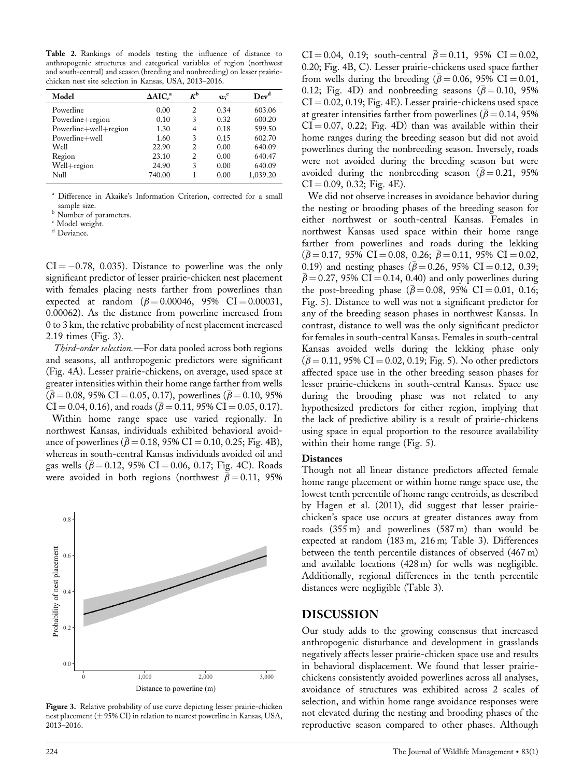Table 2. Rankings of models testing the influence of distance to anthropogenic structures and categorical variables of region (northwest and south-central) and season (breeding and nonbreeding) on lesser prairiechicken nest site selection in Kansas, USA, 2013–2016.

| Model                 | $\Delta AIC^a$ | $K^{\rm b}$    | $w_i^{\rm c}$ | Dev <sup>d</sup> |
|-----------------------|----------------|----------------|---------------|------------------|
| Powerline             | 0.00           | $\overline{c}$ | 0.34          | 603.06           |
| Powerline+region      | 0.10           | 3              | 0.32          | 600.20           |
| Powerline+well+region | 1.30           | 4              | 0.18          | 599.50           |
| Powerline+well        | 1.60           | 3              | 0.15          | 602.70           |
| Well                  | 22.90          | $\overline{c}$ | 0.00          | 640.09           |
| Region                | 23.10          | $\overline{c}$ | 0.00          | 640.47           |
| Well+region           | 24.90          | 3              | 0.00          | 640.09           |
| Null                  | 740.00         |                | 0.00          | 1,039.20         |

Difference in Akaike's Information Criterion, corrected for a small

% sample size.  $\frac{b}{b}$  Number of parameters.

<sup>c</sup> Model weight.

<sup>d</sup> Deviance.

 $CI = -0.78$ , 0.035). Distance to powerline was the only significant predictor of lesser prairie-chicken nest placement with females placing nests farther from powerlines than expected at random  $(\beta = 0.00046, 95\% \text{ CI} = 0.00031,$ 0.00062). As the distance from powerline increased from 0 to 3 km, the relative probability of nest placement increased 2.19 times (Fig. 3).

Third-order selection.—For data pooled across both regions and seasons, all anthropogenic predictors were significant (Fig. 4A). Lesser prairie-chickens, on average, used space at greater intensities within their home range farther from wells  $(\beta = 0.08, 95\% \text{ CI} = 0.05, 0.17)$ , powerlines ( $\beta = 0.10, 95\%$ )  $CI = 0.04, 0.16$ , and roads ( $\bar{\beta} = 0.11, 95\% \text{ CI} = 0.05, 0.17$ ). Within home range space use varied regionally. In northwest Kansas, individuals exhibited behavioral avoidance of powerlines ( $\bar{\beta}$  = 0.18, 95% CI = 0.10, 0.25; Fig. 4B), whereas in south-central Kansas individuals avoided oil and gas wells ( $\bar{\beta}$  = 0.12, 95% CI = 0.06, 0.17; Fig. 4C). Roads were avoided in both regions (northwest  $\bar{\beta} = 0.11$ , 95%



Figure 3. Relative probability of use curve depicting lesser prairie-chicken nest placement  $(\pm 95\%$  CI) in relation to nearest powerline in Kansas, USA, 2013–2016.

CI = 0.04, 0.19; south-central  $\bar{\beta} = 0.11$ , 95% CI = 0.02, 0.20; Fig. 4B, C). Lesser prairie-chickens used space farther from wells during the breeding ( $\bar{\beta} = 0.06$ , 95% CI = 0.01, 0.12; Fig. 4D) and nonbreeding seasons ( $\bar{\beta} = 0.10$ , 95%  $CI = 0.02, 0.19; Fig. 4E$ ). Lesser prairie-chickens used space at greater intensities farther from powerlines ( $\bar{\beta} = 0.14, 95\%$  $CI = 0.07, 0.22; Fig. 4D)$  than was available within their home ranges during the breeding season but did not avoid powerlines during the nonbreeding season. Inversely, roads were not avoided during the breeding season but were avoided during the nonbreeding season ( $\beta$  = 0.21, 95%)  $CI = 0.09, 0.32; Fig. 4E$ .

We did not observe increases in avoidance behavior during the nesting or brooding phases of the breeding season for either northwest or south-central Kansas. Females in northwest Kansas used space within their home range farther from powerlines and roads during the lekking  $(\bar{\beta} = 0.17, 95\% \text{ CI} = 0.08, 0.26; \bar{\beta} = 0.11, 95\% \text{ CI} = 0.02,$ 0.19) and nesting phases ( $\bar{\beta}$  = 0.26, 95% CI = 0.12, 0.39;  $\bar{\beta}$  = 0.27, 95% CI = 0.14, 0.40) and only powerlines during the post-breeding phase ( $\bar{\beta} = 0.08$ , 95% CI = 0.01, 0.16; Fig. 5). Distance to well was not a significant predictor for any of the breeding season phases in northwest Kansas. In contrast, distance to well was the only significant predictor for females in south-central Kansas. Females in south-central Kansas avoided wells during the lekking phase only  $(\bar{\beta} = 0.11, 95\% \text{ CI} = 0.02, 0.19; \text{Fig. 5}).$  No other predictors affected space use in the other breeding season phases for lesser prairie-chickens in south-central Kansas. Space use during the brooding phase was not related to any hypothesized predictors for either region, implying that the lack of predictive ability is a result of prairie-chickens using space in equal proportion to the resource availability within their home range (Fig. 5).

#### **Distances**

Though not all linear distance predictors affected female home range placement or within home range space use, the lowest tenth percentile of home range centroids, as described by Hagen et al. (2011), did suggest that lesser prairiechicken's space use occurs at greater distances away from roads (355 m) and powerlines (587 m) than would be expected at random (183 m, 216 m; Table 3). Differences between the tenth percentile distances of observed (467 m) and available locations (428 m) for wells was negligible. Additionally, regional differences in the tenth percentile distances were negligible (Table 3).

### DISCUSSION

Our study adds to the growing consensus that increased anthropogenic disturbance and development in grasslands negatively affects lesser prairie-chicken space use and results in behavioral displacement. We found that lesser prairiechickens consistently avoided powerlines across all analyses, avoidance of structures was exhibited across 2 scales of selection, and within home range avoidance responses were not elevated during the nesting and brooding phases of the reproductive season compared to other phases. Although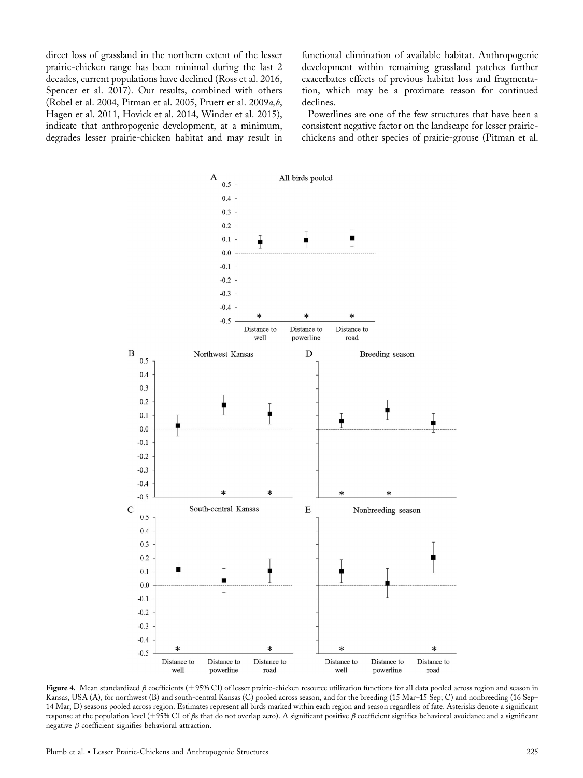direct loss of grassland in the northern extent of the lesser prairie-chicken range has been minimal during the last 2 decades, current populations have declined (Ross et al. 2016, Spencer et al. 2017). Our results, combined with others (Robel et al. 2004, Pitman et al. 2005, Pruett et al. 2009a,b, Hagen et al. 2011, Hovick et al. 2014, Winder et al. 2015), indicate that anthropogenic development, at a minimum, degrades lesser prairie-chicken habitat and may result in functional elimination of available habitat. Anthropogenic development within remaining grassland patches further exacerbates effects of previous habitat loss and fragmentation, which may be a proximate reason for continued declines.

Powerlines are one of the few structures that have been a consistent negative factor on the landscape for lesser prairiechickens and other species of prairie-grouse (Pitman et al.



Figure 4. Mean standardized  $\beta$  coefficients ( $\pm$  95% CI) of lesser prairie-chicken resource utilization functions for all data pooled across region and season in Kansas, USA (A), for northwest (B) and south-central Kansas (C) pooled across season, and for the breeding (15 Mar–15 Sep; C) and nonbreeding (16 Sep– 14 Mar; D) seasons pooled across region. Estimates represent all birds marked within each region and season regardless of fate. Asterisks denote a significant response at the population level  $(\pm 95\% \text{ CI of } \bar{\beta} s$  that do not overlap zero). A significant positive  $\bar{\beta}$  coefficient signifies behavioral avoidance and a significant negative  $\bar{\beta}$  coefficient signifies behavioral attraction.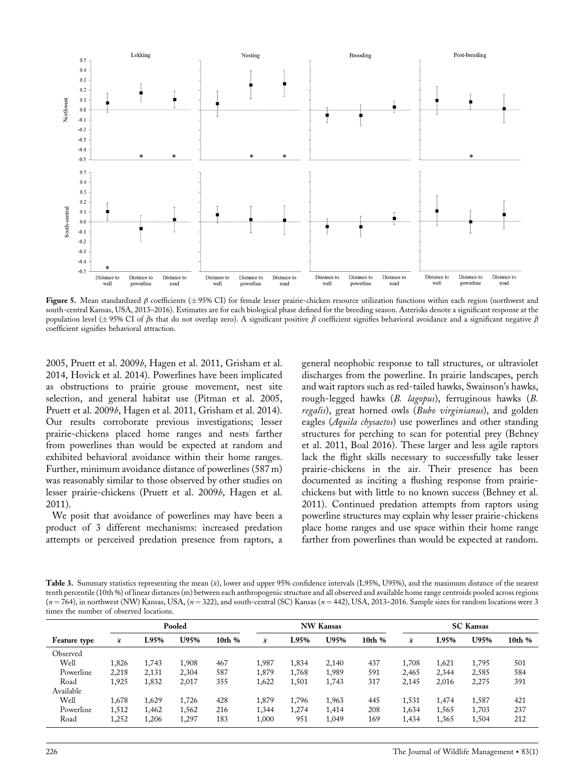

Figure 5. Mean standardized  $\beta$  coefficients ( $\pm$  95% CI) for female lesser prairie-chicken resource utilization functions within each region (northwest and south-central Kansas, USA, 2013–2016). Estimates are for each biological phase defined for the breeding season. Asterisks denote a significant response at the population level ( $\pm$ 95% CI of  $\bar{\beta}$ s that do not overlap zero). A significant positive  $\bar{\beta}$  coefficient signifies behavioral avoidance and a significant negative  $\bar{\beta}$ coefficient signifies behavioral attraction.

2005, Pruett et al. 2009b, Hagen et al. 2011, Grisham et al. 2014, Hovick et al. 2014). Powerlines have been implicated as obstructions to prairie grouse movement, nest site selection, and general habitat use (Pitman et al. 2005, Pruett et al. 2009b, Hagen et al. 2011, Grisham et al. 2014). Our results corroborate previous investigations; lesser prairie-chickens placed home ranges and nests farther from powerlines than would be expected at random and exhibited behavioral avoidance within their home ranges. Further, minimum avoidance distance of powerlines (587 m) was reasonably similar to those observed by other studies on lesser prairie-chickens (Pruett et al. 2009b, Hagen et al. 2011).

We posit that avoidance of powerlines may have been a product of 3 different mechanisms: increased predation attempts or perceived predation presence from raptors, a general neophobic response to tall structures, or ultraviolet discharges from the powerline. In prairie landscapes, perch and wait raptors such as red-tailed hawks, Swainson's hawks, rough-legged hawks (B. lagopus), ferruginous hawks (B. regalis), great horned owls (Bubo virginianus), and golden eagles (*Aquila chysaetos*) use powerlines and other standing structures for perching to scan for potential prey (Behney et al. 2011, Boal 2016). These larger and less agile raptors lack the flight skills necessary to successfully take lesser prairie-chickens in the air. Their presence has been documented as inciting a flushing response from prairiechickens but with little to no known success (Behney et al. 2011). Continued predation attempts from raptors using powerline structures may explain why lesser prairie-chickens place home ranges and use space within their home range farther from powerlines than would be expected at random.

Table 3. Summary statistics representing the mean  $(\bar{x})$ , lower and upper 95% confidence intervals (L95%, U95%), and the maximum distance of the nearest tenth percentile (10th %) of linear distances (m) between each anthropogenic structure and all observed and available home range centroids pooled across regions  $(n = 764)$ , in northwest (NW) Kansas, USA,  $(n = 322)$ , and south-central (SC) Kansas  $(n = 442)$ , USA, 2013–2016. Sample sizes for random locations were 3 times the number of observed locations.

|              | Pooled    |       |       |        | <b>NW Kansas</b> |       |       | <b>SC</b> Kansas |           |       |       |        |
|--------------|-----------|-------|-------|--------|------------------|-------|-------|------------------|-----------|-------|-------|--------|
| Feature type | $\bar{x}$ | L95%  | U95%  | 10th % | $\bar{x}$        | L95%  | U95%  | 10th %           | $\bar{x}$ | L95%  | U95%  | 10th % |
| Observed     |           |       |       |        |                  |       |       |                  |           |       |       |        |
| Well         | 1,826     | 1.743 | 1.908 | 467    | 1,987            | 1,834 | 2,140 | 437              | 1,708     | 1,621 | 1,795 | 501    |
| Powerline    | 2,218     | 2,131 | 2.304 | 587    | 1,879            | 1,768 | 1,989 | 591              | 2,465     | 2,344 | 2,585 | 584    |
| Road         | 1,925     | 1,832 | 2,017 | 355    | 1,622            | 1,501 | 1,743 | 317              | 2,145     | 2,016 | 2,275 | 391    |
| Available    |           |       |       |        |                  |       |       |                  |           |       |       |        |
| Well         | 1,678     | 1.629 | 1,726 | 428    | 1,879            | 1,796 | 1,963 | 445              | 1,531     | 1,474 | 1,587 | 421    |
| Powerline    | 1,512     | 1.462 | 1,562 | 216    | 1,344            | 1,274 | 1,414 | 208              | 1,634     | 1,565 | 1,703 | 237    |
| Road         | 1,252     | 1,206 | 1,297 | 183    | 1,000            | 951   | 1,049 | 169              | 1,434     | 1,365 | 1,504 | 212    |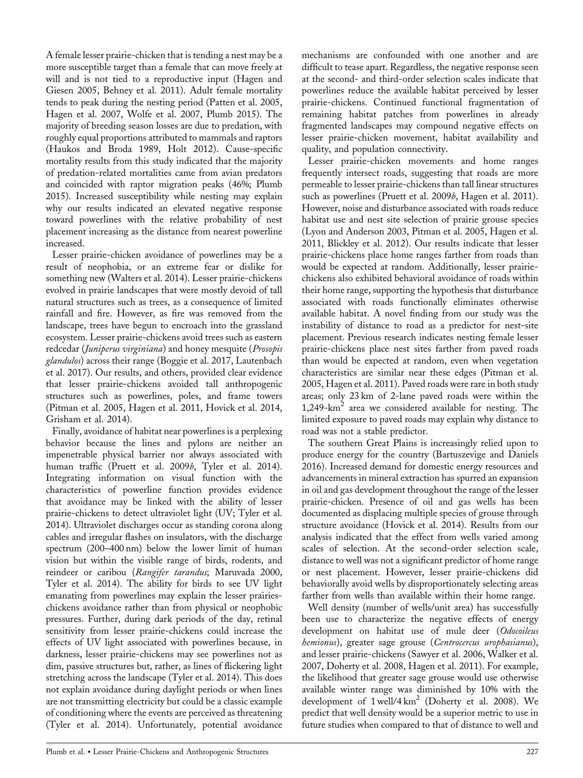A female lesser prairie-chicken that is tending a nest may be a more susceptible target than a female that can move freely at will and is not tied to a reproductive input (Hagen and Giesen 2005, Behney et al. 2011). Adult female mortality tends to peak during the nesting period (Patten et al. 2005, Hagen et al. 2007, Wolfe et al. 2007, Plumb 2015). The majority of breeding season losses are due to predation, with roughly equal proportions attributed to mammals and raptors (Haukos and Broda 1989, Holt 2012). Cause-specific mortality results from this study indicated that the majority of predation-related mortalities came from avian predators and coincided with raptor migration peaks (46%; Plumb 2015). Increased susceptibility while nesting may explain why our results indicated an elevated negative response toward powerlines with the relative probability of nest placement increasing as the distance from nearest powerline increased.

Lesser prairie-chicken avoidance of powerlines may be a result of neophobia, or an extreme fear or dislike for something new (Walters et al. 2014). Lesser prairie-chickens evolved in prairie landscapes that were mostly devoid of tall natural structures such as trees, as a consequence of limited rainfall and fire. However, as fire was removed from the landscape, trees have begun to encroach into the grassland ecosystem. Lesser prairie-chickens avoid trees such as eastern redcedar (Juniperus virginiana) and honey mesquite (Prosopis glandulos) across their range (Boggie et al. 2017, Lautenbach et al. 2017). Our results, and others, provided clear evidence that lesser prairie-chickens avoided tall anthropogenic structures such as powerlines, poles, and frame towers (Pitman et al. 2005, Hagen et al. 2011, Hovick et al. 2014, Grisham et al. 2014).

Finally, avoidance of habitat near powerlines is a perplexing behavior because the lines and pylons are neither an impenetrable physical barrier nor always associated with human traffic (Pruett et al. 2009b, Tyler et al. 2014). Integrating information on visual function with the characteristics of powerline function provides evidence that avoidance may be linked with the ability of lesser prairie-chickens to detect ultraviolet light (UV; Tyler et al. 2014). Ultraviolet discharges occur as standing corona along cables and irregular flashes on insulators, with the discharge spectrum (200–400 nm) below the lower limit of human vision but within the visible range of birds, rodents, and reindeer or caribou (Rangifer tarandus; Maruvada 2000, Tyler et al. 2014). The ability for birds to see UV light emanating from powerlines may explain the lesser prairieschickens avoidance rather than from physical or neophobic pressures. Further, during dark periods of the day, retinal sensitivity from lesser prairie-chickens could increase the effects of UV light associated with powerlines because, in darkness, lesser prairie-chickens may see powerlines not as dim, passive structures but, rather, as lines of flickering light stretching across the landscape (Tyler et al. 2014). This does not explain avoidance during daylight periods or when lines are not transmitting electricity but could be a classic example of conditioning where the events are perceived as threatening (Tyler et al. 2014). Unfortunately, potential avoidance

mechanisms are confounded with one another and are difficult to tease apart. Regardless, the negative response seen at the second- and third-order selection scales indicate that powerlines reduce the available habitat perceived by lesser prairie-chickens. Continued functional fragmentation of remaining habitat patches from powerlines in already fragmented landscapes may compound negative effects on lesser prairie-chicken movement, habitat availability and quality, and population connectivity.

Lesser prairie-chicken movements and home ranges frequently intersect roads, suggesting that roads are more permeable to lesser prairie-chickens than tall linear structures such as powerlines (Pruett et al. 2009*b*, Hagen et al. 2011). However, noise and disturbance associated with roads reduce habitat use and nest site selection of prairie grouse species (Lyon and Anderson 2003, Pitman et al. 2005, Hagen et al. 2011, Blickley et al. 2012). Our results indicate that lesser prairie-chickens place home ranges farther from roads than would be expected at random. Additionally, lesser prairiechickens also exhibited behavioral avoidance of roads within their home range, supporting the hypothesis that disturbance associated with roads functionally eliminates otherwise available habitat. A novel finding from our study was the instability of distance to road as a predictor for nest-site placement. Previous research indicates nesting female lesser prairie-chickens place nest sites farther from paved roads than would be expected at random, even when vegetation characteristics are similar near these edges (Pitman et al. 2005, Hagen et al. 2011). Paved roads were rare in both study areas; only 23 km of 2-lane paved roads were within the  $1,249$ -km<sup>2</sup> area we considered available for nesting. The limited exposure to paved roads may explain why distance to road was not a stable predictor.

The southern Great Plains is increasingly relied upon to produce energy for the country (Bartuszevige and Daniels 2016). Increased demand for domestic energy resources and advancements in mineral extraction has spurred an expansion in oil and gas development throughout the range of the lesser prairie-chicken. Presence of oil and gas wells has been documented as displacing multiple species of grouse through structure avoidance (Hovick et al. 2014). Results from our analysis indicated that the effect from wells varied among scales of selection. At the second-order selection scale, distance to well was not a significant predictor of home range or nest placement. However, lesser prairie-chickens did behaviorally avoid wells by disproportionately selecting areas farther from wells than available within their home range.

Well density (number of wells/unit area) has successfully been use to characterize the negative effects of energy development on habitat use of mule deer (Odocoileus hemionus), greater sage grouse (Centrocercus urophasianus), and lesser prairie-chickens (Sawyer et al. 2006, Walker et al. 2007, Doherty et al. 2008, Hagen et al. 2011). For example, the likelihood that greater sage grouse would use otherwise available winter range was diminished by 10% with the development of  $1$  well/ $4 \text{ km}^2$  (Doherty et al. 2008). We predict that well density would be a superior metric to use in future studies when compared to that of distance to well and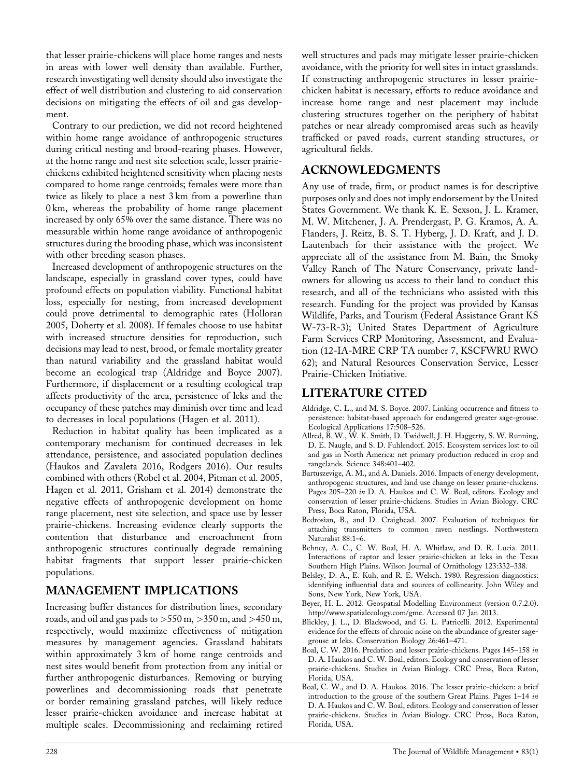that lesser prairie-chickens will place home ranges and nests in areas with lower well density than available. Further, research investigating well density should also investigate the effect of well distribution and clustering to aid conservation decisions on mitigating the effects of oil and gas development.

Contrary to our prediction, we did not record heightened within home range avoidance of anthropogenic structures during critical nesting and brood-rearing phases. However, at the home range and nest site selection scale, lesser prairiechickens exhibited heightened sensitivity when placing nests compared to home range centroids; females were more than twice as likely to place a nest 3 km from a powerline than 0 km, whereas the probability of home range placement increased by only 65% over the same distance. There was no measurable within home range avoidance of anthropogenic structures during the brooding phase, which was inconsistent with other breeding season phases.

Increased development of anthropogenic structures on the landscape, especially in grassland cover types, could have profound effects on population viability. Functional habitat loss, especially for nesting, from increased development could prove detrimental to demographic rates (Holloran 2005, Doherty et al. 2008). If females choose to use habitat with increased structure densities for reproduction, such decisions may lead to nest, brood, or female mortality greater than natural variability and the grassland habitat would become an ecological trap (Aldridge and Boyce 2007). Furthermore, if displacement or a resulting ecological trap affects productivity of the area, persistence of leks and the occupancy of these patches may diminish over time and lead to decreases in local populations (Hagen et al. 2011).

Reduction in habitat quality has been implicated as a contemporary mechanism for continued decreases in lek attendance, persistence, and associated population declines (Haukos and Zavaleta 2016, Rodgers 2016). Our results combined with others (Robel et al. 2004, Pitman et al. 2005, Hagen et al. 2011, Grisham et al. 2014) demonstrate the negative effects of anthropogenic development on home range placement, nest site selection, and space use by lesser prairie-chickens. Increasing evidence clearly supports the contention that disturbance and encroachment from anthropogenic structures continually degrade remaining habitat fragments that support lesser prairie-chicken populations.

## MANAGEMENT IMPLICATIONS

Increasing buffer distances for distribution lines, secondary roads, and oil and gas pads to  $>550$  m,  $>350$  m, and  $>450$  m, respectively, would maximize effectiveness of mitigation measures by management agencies. Grassland habitats within approximately 3 km of home range centroids and nest sites would benefit from protection from any initial or further anthropogenic disturbances. Removing or burying powerlines and decommissioning roads that penetrate or border remaining grassland patches, will likely reduce lesser prairie-chicken avoidance and increase habitat at multiple scales. Decommissioning and reclaiming retired well structures and pads may mitigate lesser prairie-chicken avoidance, with the priority for well sites in intact grasslands. If constructing anthropogenic structures in lesser prairiechicken habitat is necessary, efforts to reduce avoidance and increase home range and nest placement may include clustering structures together on the periphery of habitat patches or near already compromised areas such as heavily trafficked or paved roads, current standing structures, or agricultural fields.

# ACKNOWLEDGMENTS

Any use of trade, firm, or product names is for descriptive purposes only and does not imply endorsement by the United States Government. We thank K. E. Sexson, J. L. Kramer, M. W. Mitchener, J. A. Prendergast, P. G. Kramos, A. A. Flanders, J. Reitz, B. S. T. Hyberg, J. D. Kraft, and J. D. Lautenbach for their assistance with the project. We appreciate all of the assistance from M. Bain, the Smoky Valley Ranch of The Nature Conservancy, private landowners for allowing us access to their land to conduct this research, and all of the technicians who assisted with this research. Funding for the project was provided by Kansas Wildlife, Parks, and Tourism (Federal Assistance Grant KS W-73-R-3); United States Department of Agriculture Farm Services CRP Monitoring, Assessment, and Evaluation (12-IA-MRE CRP TA number 7, KSCFWRU RWO 62); and Natural Resources Conservation Service, Lesser Prairie-Chicken Initiative.

## LITERATURE CITED

- Aldridge, C. L., and M. S. Boyce. 2007. Linking occurrence and fitness to persistence: habitat-based approach for endangered greater sage-grouse. Ecological Applications 17:508–526.
- Allred, B. W., W. K. Smith, D. Twidwell, J. H. Haggerty, S. W. Running, D. E. Naugle, and S. D. Fuhlendorf. 2015. Ecosystem services lost to oil and gas in North America: net primary production reduced in crop and rangelands. Science 348:401–402.
- Bartuszevige, A. M., and A. Daniels. 2016. Impacts of energy development, anthropogenic structures, and land use change on lesser prairie-chickens. Pages 205–220 in D. A. Haukos and C. W. Boal, editors. Ecology and conservation of lesser prairie-chickens. Studies in Avian Biology. CRC Press, Boca Raton, Florida, USA.
- Bedrosian, B., and D. Craighead. 2007. Evaluation of techniques for attaching transmitters to common raven nestlings. Northwestern Naturalist 88:1–6.
- Behney, A. C., C. W. Boal, H. A. Whitlaw, and D. R. Lucia. 2011. Interactions of raptor and lesser prairie-chicken at leks in the Texas Southern High Plains. Wilson Journal of Ornithology 123:332–338.
- Belsley, D. A., E. Kuh, and R. E. Welsch. 1980. Regression diagnostics: identifying influential data and sources of collinearity. John Wiley and Sons, New York, New York, USA.
- Beyer, H. L. 2012. Geospatial Modelling Environment (version 0.7.2.0). <http://www.spatialecology.com/gme>. Accessed 07 Jan 2013.
- Blickley, J. L., D. Blackwood, and G. L. Patricelli. 2012. Experimental evidence for the effects of chronic noise on the abundance of greater sagegrouse at leks. Conservation Biology 26:461–471.
- Boal, C. W. 2016. Predation and lesser prairie-chickens. Pages 145–158 in D. A. Haukos and C. W. Boal, editors. Ecology and conservation of lesser prairie-chickens. Studies in Avian Biology. CRC Press, Boca Raton, Florida, USA.
- Boal, C. W., and D. A. Haukos. 2016. The lesser prairie-chicken: a brief introduction to the grouse of the southern Great Plains. Pages 1–14 in D. A. Haukos and C. W. Boal, editors. Ecology and conservation of lesser prairie-chickens. Studies in Avian Biology. CRC Press, Boca Raton, Florida, USA.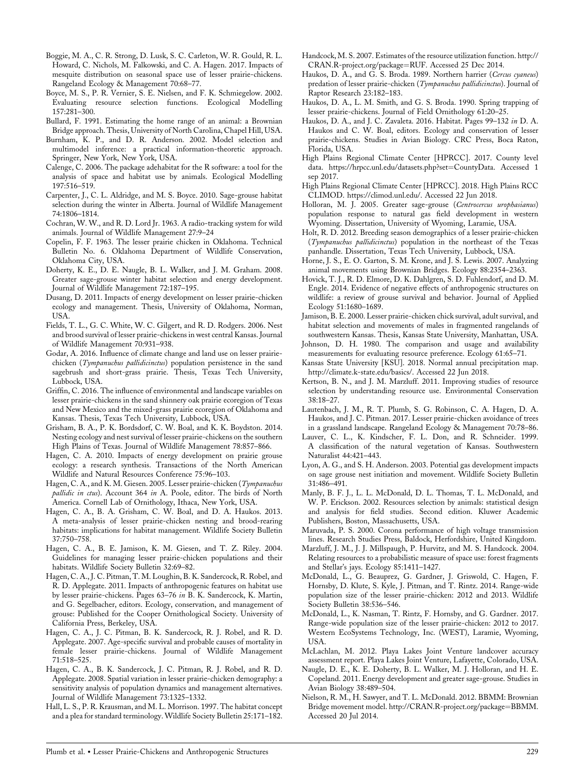- Boggie, M. A., C. R. Strong, D. Lusk, S. C. Carleton, W. R. Gould, R. L. Howard, C. Nichols, M. Falkowski, and C. A. Hagen. 2017. Impacts of mesquite distribution on seasonal space use of lesser prairie-chickens. Rangeland Ecology & Management 70:68–77.
- Boyce, M. S., P. R. Vernier, S. E. Nielsen, and F. K. Schmiegelow. 2002. Evaluating resource selection functions. Ecological Modelling 157:281–300.
- Bullard, F. 1991. Estimating the home range of an animal: a Brownian Bridge approach. Thesis, University of North Carolina, Chapel Hill, USA.
- Burnham, K. P., and D. R. Anderson. 2002. Model selection and multimodel inference: a practical information-theoretic approach. Springer, New York, New York, USA.
- Calenge, C. 2006. The package adehabitat for the R software: a tool for the analysis of space and habitat use by animals. Ecological Modelling 197:516–519.
- Carpenter, J., C. L. Aldridge, and M. S. Boyce. 2010. Sage-grouse habitat selection during the winter in Alberta. Journal of Wildlife Management 74:1806–1814.
- Cochran, W. W., and R. D. Lord Jr. 1963. A radio-tracking system for wild animals. Journal of Wildlife Management 27:9–24
- Copelin, F. F. 1963. The lesser prairie chicken in Oklahoma. Technical Bulletin No. 6. Oklahoma Department of Wildlife Conservation, Oklahoma City, USA.
- Doherty, K. E., D. E. Naugle, B. L. Walker, and J. M. Graham. 2008. Greater sage-grouse winter habitat selection and energy development. Journal of Wildlife Management 72:187–195.
- Dusang, D. 2011. Impacts of energy development on lesser prairie-chicken ecology and management. Thesis, University of Oklahoma, Norman, USA.
- Fields, T. L., G. C. White, W. C. Gilgert, and R. D. Rodgers. 2006. Nest and brood survival of lesser prairie-chickens in west central Kansas. Journal of Wildlife Management 70:931–938.
- Godar, A. 2016. Influence of climate change and land use on lesser prairiechicken (Tympanuchus pallidicinctus) population persistence in the sand sagebrush and short-grass prairie. Thesis, Texas Tech University, Lubbock, USA.
- Griffin, C. 2016. The influence of environmental and landscape variables on lesser prairie-chickens in the sand shinnery oak prairie ecoregion of Texas and New Mexico and the mixed-grass prairie ecoregion of Oklahoma and Kansas. Thesis, Texas Tech University, Lubbock, USA.
- Grisham, B. A., P. K. Bordsdorf, C. W. Boal, and K. K. Boydston. 2014. Nesting ecology and nest survival of lesser prairie-chickens on the southern High Plains of Texas. Journal of Wildlife Management 78:857–866.
- Hagen, C. A. 2010. Impacts of energy development on prairie grouse ecology: a research synthesis. Transactions of the North American Wildlife and Natural Resources Conference 75:96–103.
- Hagen, C. A., and K. M. Giesen. 2005. Lesser prairie-chicken (Tympanuchus pallidic in ctus). Account 364 in A. Poole, editor. The birds of North America. Cornell Lab of Ornithology, Ithaca, New York, USA.
- Hagen, C. A., B. A. Grisham, C. W. Boal, and D. A. Haukos. 2013. A meta-analysis of lesser prairie-chicken nesting and brood-rearing habitats: implications for habitat management. Wildlife Society Bulletin 37:750–758.
- Hagen, C. A., B. E. Jamison, K. M. Giesen, and T. Z. Riley. 2004. Guidelines for managing lesser prairie-chicken populations and their habitats. Wildlife Society Bulletin 32:69–82.
- Hagen, C. A., J. C. Pitman, T. M. Loughin, B. K. Sandercock, R. Robel, and R. D. Applegate. 2011. Impacts of anthropogenic features on habitat use by lesser prairie-chickens. Pages 63–76 in B. K. Sandercock, K. Martin, and G. Segelbacher, editors. Ecology, conservation, and management of grouse: Published for the Cooper Ornithological Society. University of California Press, Berkeley, USA.
- Hagen, C. A., J. C. Pitman, B. K. Sandercock, R. J. Robel, and R. D. Applegate. 2007. Age-specific survival and probable causes of mortality in female lesser prairie-chickens. Journal of Wildlife Management 71:518–525.
- Hagen, C. A., B. K. Sandercock, J. C. Pitman, R. J. Robel, and R. D. Applegate. 2008. Spatial variation in lesser prairie-chicken demography: a sensitivity analysis of population dynamics and management alternatives. Journal of Wildlife Management 73:1325–1332.
- Hall, L. S., P. R. Krausman, and M. L. Morrison. 1997. The habitat concept and a plea for standard terminology. Wildlife Society Bulletin 25:171–182.
- Handcock, M. S. 2007. Estimates of the resource utilization function. [http://](http://CRAN.R-project.org/package=RUF) [CRAN.R-project.org/package](http://CRAN.R-project.org/package=RUF)=RUF. Accessed 25 Dec 2014.
- Haukos, D. A., and G. S. Broda. 1989. Northern harrier (Cercus cyaneus) predation of lesser prairie-chicken (Tympanuchus pallidicinctus). Journal of Raptor Research 23:182–183.
- Haukos, D. A., L. M. Smith, and G. S. Broda. 1990. Spring trapping of lesser prairie-chickens. Journal of Field Ornithology 61:20–25.
- Haukos, D. A., and J. C. Zavaleta. 2016. Habitat. Pages 99-132 in D. A. Haukos and C. W. Boal, editors. Ecology and conservation of lesser prairie-chickens. Studies in Avian Biology. CRC Press, Boca Raton, Florida, USA.
- High Plains Regional Climate Center [HPRCC]. 2017. County level data. [https://hrpcc.unl.edu/datasets.php?set](https://hrpcc.unl.edu/datasets.php?set=CountyData)=CountyData. Accessed 1 sep 2017.
- High Plains Regional Climate Center [HPRCC]. 2018. High Plains RCC CLIMOD.<https://climod.unl.edu/>. Accessed 22 Jun 2018.
- Holloran, M. J. 2005. Greater sage-grouse (Centrocercus urophasianus) population response to natural gas field development in western Wyoming. Dissertation, University of Wyoming, Laramie, USA.
- Holt, R. D. 2012. Breeding season demographics of a lesser prairie-chicken (Tympanuchus pallidicinctus) population in the northeast of the Texas panhandle. Dissertation, Texas Tech University, Lubbock, USA.
- Horne, J. S., E. O. Garton, S. M. Krone, and J. S. Lewis. 2007. Analyzing animal movements using Brownian Bridges. Ecology 88:2354–2363.
- Hovick, T. J., R. D. Elmore, D. K. Dahlgren, S. D. Fuhlendorf, and D. M. Engle. 2014. Evidence of negative effects of anthropogenic structures on wildlife: a review of grouse survival and behavior. Journal of Applied Ecology 51:1680–1689.
- Jamison, B. E. 2000. Lesser prairie-chicken chick survival, adult survival, and habitat selection and movements of males in fragmented rangelands of southwestern Kansas. Thesis, Kansas State University, Manhattan, USA.
- Johnson, D. H. 1980. The comparison and usage and availability measurements for evaluating resource preference. Ecology 61:65–71.
- Kansas State University [KSU]. 2018. Normal annual precipitation map. [http://climate.k-state.edu/basics/.](http://climate.k-state.edu/basics/) Accessed 22 Jun 2018.
- Kertson, B. N., and J. M. Marzluff. 2011. Improving studies of resource selection by understanding resource use. Environmental Conservation 38:18–27.
- Lautenbach, J. M., R. T. Plumb, S. G. Robinson, C. A. Hagen, D. A. Haukos, and J. C. Pitman. 2017. Lesser prairie-chicken avoidance of trees in a grassland landscape. Rangeland Ecology & Management 70:78–86.
- Lauver, C. L., K. Kindscher, F. L. Don, and R. Schneider. 1999. A classification of the natural vegetation of Kansas. Southwestern Naturalist 44:421–443.
- Lyon, A. G., and S. H. Anderson. 2003. Potential gas development impacts on sage grouse nest initiation and movement. Wildlife Society Bulletin 31:486–491.
- Manly, B. F. J., L. L. McDonald, D. L. Thomas, T. L. McDonald, and W. P. Erickson. 2002. Resources selection by animals: statistical design and analysis for field studies. Second edition. Kluwer Academic Publishers, Boston, Massachusetts, USA.
- Maruvada, P. S. 2000. Corona performance of high voltage transmission lines. Research Studies Press, Baldock, Herfordshire, United Kingdom.
- Marzluff, J. M., J. J. Millspaugh, P. Hurvitz, and M. S. Handcock. 2004. Relating resources to a probabilistic measure of space use: forest fragments and Stellar's jays. Ecology 85:1411–1427.
- McDonald, L., G. Beauprez, G. Gardner, J. Griswold, C. Hagen, F. Hornsby, D. Klute, S. Kyle, J. Pitman, and T. Rintz. 2014. Range-wide population size of the lesser prairie-chicken: 2012 and 2013. Wildlife Society Bulletin 38:536–546.
- McDonald, L., K. Nasman, T. Rintz, F. Hornsby, and G. Gardner. 2017. Range-wide population size of the lesser prairie-chicken: 2012 to 2017. Western EcoSystems Technology, Inc. (WEST), Laramie, Wyoming, **USA**
- McLachlan, M. 2012. Playa Lakes Joint Venture landcover accuracy assessment report. Playa Lakes Joint Venture, Lafayette, Colorado, USA.
- Naugle, D. E., K. E. Doherty, B. L. Walker, M. J. Holloran, and H. E. Copeland. 2011. Energy development and greater sage-grouse. Studies in Avian Biology 38:489–504.
- Nielson, R. M., H. Sawyer, and T. L. McDonald. 2012. BBMM: Brownian Bridge movement model. [http://CRAN.R-project.org/package](http://CRAN.R-project.org/package=BBMM)=BBMM. Accessed 20 Jul 2014.